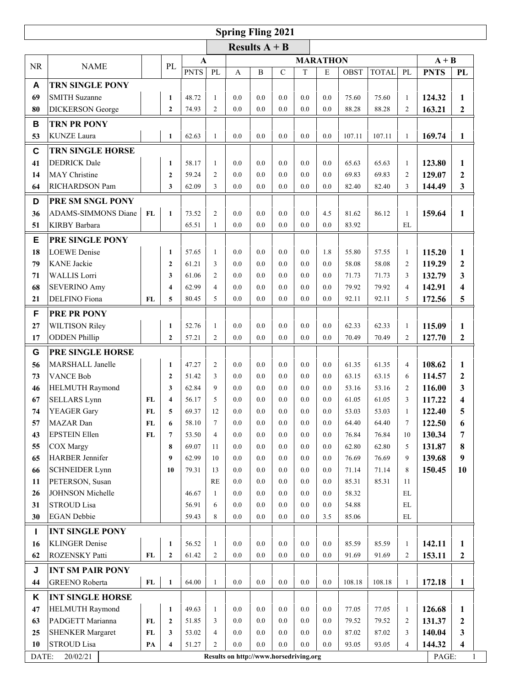| <b>Spring Fling 2021</b> |                                                  |            |                         |                |                                  |                                        |              |             |            |            |                |                |                     |                  |                  |
|--------------------------|--------------------------------------------------|------------|-------------------------|----------------|----------------------------------|----------------------------------------|--------------|-------------|------------|------------|----------------|----------------|---------------------|------------------|------------------|
| Results $A + B$          |                                                  |            |                         |                |                                  |                                        |              |             |            |            |                |                |                     |                  |                  |
|                          |                                                  |            |                         | $\mathbf A$    |                                  |                                        |              |             | $A + B$    |            |                |                |                     |                  |                  |
| <b>NR</b>                | <b>NAME</b>                                      |            | PL                      | <b>PNTS</b>    | PL                               | $\overline{A}$                         | $\, {\bf B}$ | $\mathbf C$ | T          | E          | <b>OBST</b>    | <b>TOTAL</b>   | PL                  | <b>PNTS</b>      | PL               |
| A                        | <b>TRN SINGLE PONY</b>                           |            |                         |                |                                  |                                        |              |             |            |            |                |                |                     |                  |                  |
| 69                       | <b>SMITH Suzanne</b>                             |            | $\mathbf{1}$            | 48.72          | $\mathbf{1}$                     | 0.0                                    | 0.0          | 0.0         | 0.0        | 0.0        | 75.60          | 75.60          | $\mathbf{1}$        | 124.32           | 1                |
| 80                       | <b>DICKERSON</b> George                          |            | $\overline{2}$          | 74.93          | $\overline{2}$                   | 0.0                                    | 0.0          | 0.0         | 0.0        | 0.0        | 88.28          | 88.28          | $\overline{2}$      | 163.21           | $\boldsymbol{2}$ |
| B                        | <b>TRN PR PONY</b>                               |            |                         |                |                                  |                                        |              |             |            |            |                |                |                     |                  |                  |
| 53                       | <b>KUNZE</b> Laura                               |            | $\mathbf{1}$            | 62.63          | $\mathbf{1}$                     | 0.0                                    | 0.0          | 0.0         | 0.0        | 0.0        | 107.11         | 107.11         | 1                   | 169.74           | 1                |
| C                        | TRN SINGLE HORSE                                 |            |                         |                |                                  |                                        |              |             |            |            |                |                |                     |                  |                  |
| 41                       | <b>DEDRICK</b> Dale                              |            | 1                       | 58.17          | 1                                | 0.0                                    | 0.0          | 0.0         | 0.0        | 0.0        | 65.63          | 65.63          | 1                   | 123.80           | 1                |
| 14                       | MAY Christine                                    |            | $\mathbf{2}$            | 59.24          | 2                                | 0.0                                    | 0.0          | 0.0         | 0.0        | 0.0        | 69.83          | 69.83          | $\overline{2}$      | 129.07           | $\overline{2}$   |
| 64                       | RICHARDSON Pam                                   |            | 3                       | 62.09          | 3                                | 0.0                                    | 0.0          | 0.0         | 0.0        | 0.0        | 82.40          | 82.40          | 3                   | 144.49           | 3                |
|                          |                                                  |            |                         |                |                                  |                                        |              |             |            |            |                |                |                     |                  |                  |
| D                        | PRE SM SNGL PONY                                 |            |                         |                |                                  |                                        |              |             |            |            |                |                |                     |                  |                  |
| 36                       | ADAMS-SIMMONS Diane                              | <b>FL</b>  | $\mathbf{1}$            | 73.52          | $\overline{c}$                   | 0.0                                    | 0.0          | 0.0         | 0.0        | 4.5        | 81.62          | 86.12          | 1                   | 159.64           | 1                |
| 51                       | KIRBY Barbara                                    |            |                         | 65.51          | 1                                | 0.0                                    | 0.0          | 0.0         | 0.0        | 0.0        | 83.92          |                | EL                  |                  |                  |
| E                        | PRE SINGLE PONY                                  |            |                         |                |                                  |                                        |              |             |            |            |                |                |                     |                  |                  |
| 18                       | <b>LOEWE</b> Denise                              |            | 1                       | 57.65          | 1                                | 0.0                                    | 0.0          | 0.0         | 0.0        | 1.8        | 55.80          | 57.55          | 1                   | 115.20           | 1                |
| 79                       | <b>KANE</b> Jackie                               |            | $\mathbf{2}$            | 61.21          | 3                                | 0.0                                    | 0.0          | 0.0         | 0.0        | 0.0        | 58.08          | 58.08          | 2                   | 119.29           | $\boldsymbol{2}$ |
| 71                       | <b>WALLIS</b> Lorri                              |            | 3                       | 61.06          | $\overline{c}$                   | 0.0                                    | 0.0          | 0.0         | 0.0        | 0.0        | 71.73          | 71.73          | 3                   | 132.79           | 3                |
| 68                       | <b>SEVERINO Amy</b>                              |            | $\overline{\mathbf{4}}$ | 62.99          | $\overline{4}$                   | 0.0                                    | 0.0          | 0.0         | 0.0        | 0.0        | 79.92          | 79.92          | $\overline{4}$      | 142.91           | 4                |
| 21                       | DELFINO Fiona                                    | FL         | 5                       | 80.45          | 5                                | 0.0                                    | 0.0          | 0.0         | 0.0        | 0.0        | 92.11          | 92.11          | 5                   | 172.56           | 5                |
| F                        | <b>PRE PR PONY</b>                               |            |                         |                |                                  |                                        |              |             |            |            |                |                |                     |                  |                  |
| 27                       | <b>WILTISON Riley</b>                            |            | 1                       | 52.76          | 1                                | 0.0                                    | 0.0          | 0.0         | 0.0        | 0.0        | 62.33          | 62.33          | 1                   | 115.09           | 1                |
| 17                       | <b>ODDEN Phillip</b>                             |            | $\overline{2}$          | 57.21          | $\overline{c}$                   | 0.0                                    | 0.0          | 0.0         | 0.0        | 0.0        | 70.49          | 70.49          | $\overline{c}$      | 127.70           | $\mathbf{2}$     |
| G                        | PRE SINGLE HORSE                                 |            |                         |                |                                  |                                        |              |             |            |            |                |                |                     |                  |                  |
| 56                       | MARSHALL Janelle                                 |            | $\mathbf{1}$            | 47.27          | $\overline{c}$                   | 0.0                                    | 0.0          | 0.0         | 0.0        | 0.0        | 61.35          | 61.35          | $\overline{4}$      | 108.62           | 1                |
| 73                       | <b>VANCE Bob</b>                                 |            | $\overline{2}$          | 51.42          | 3                                | 0.0                                    | 0.0          | 0.0         | 0.0        | 0.0        | 63.15          | 63.15          | 6                   | 114.57           | 2                |
| 46                       | HELMUTH Raymond                                  |            | 3                       | 62.84          | 9                                | 0.0                                    | 0.0          | 0.0         | 0.0        | 0.0        | 53.16          | 53.16          | 2                   | 116.00           | 3                |
| 67                       | <b>SELLARS</b> Lynn                              | FL         | $\overline{\mathbf{4}}$ | 56.17          | 5                                | 0.0                                    | 0.0          | 0.0         | 0.0        | 0.0        | 61.05          | 61.05          | 3                   | 117.22           | 4                |
| 74                       | YEAGER Gary                                      | FL         | 5                       | 69.37          | 12                               | 0.0                                    | 0.0          | 0.0         | 0.0        | 0.0        | 53.03          | 53.03          | 1                   | 122.40           | 5                |
| 57                       | MAZAR Dan                                        | ${\bf FL}$ | 6                       | 58.10          | $\tau$                           | 0.0                                    | 0.0          | $0.0\,$     | $0.0\,$    | 0.0        | 64.40          | 64.40          | $\tau$              | 122.50           | 6                |
| 43                       | <b>EPSTEIN Ellen</b>                             | ${\bf FL}$ | $7\phantom{.0}$         | 53.50          | $\overline{4}$                   | 0.0                                    | 0.0          | 0.0         | 0.0        | 0.0        | 76.84          | 76.84          | 10                  | 130.34           | 7                |
| 55<br>65                 | <b>COX</b> Margy<br>HARBER Jennifer              |            | 8<br>9                  | 69.07<br>62.99 | 11<br>10                         | 0.0<br>0.0                             | 0.0<br>0.0   | 0.0<br>0.0  | 0.0<br>0.0 | 0.0<br>0.0 | 62.80<br>76.69 | 62.80<br>76.69 | 5<br>9              | 131.87<br>139.68 | 8<br>9           |
| 66                       | <b>SCHNEIDER Lynn</b>                            |            | 10                      | 79.31          | 13                               | 0.0                                    | 0.0          | 0.0         | 0.0        | 0.0        | 71.14          | 71.14          | 8                   | 150.45           | 10               |
| 11                       | PETERSON, Susan                                  |            |                         |                | <b>RE</b>                        | 0.0                                    | 0.0          | 0.0         | 0.0        | 0.0        | 85.31          | 85.31          | 11                  |                  |                  |
| 26                       | JOHNSON Michelle                                 |            |                         | 46.67          | 1                                | 0.0                                    | 0.0          | 0.0         | 0.0        | 0.0        | 58.32          |                | $\mathbf{EL}$       |                  |                  |
| 31                       | <b>STROUD Lisa</b>                               |            |                         | 56.91          | 6                                | 0.0                                    | 0.0          | 0.0         | 0.0        | 0.0        | 54.88          |                | EL                  |                  |                  |
| 30                       | <b>EGAN</b> Debbie                               |            |                         | 59.43          | 8                                | 0.0                                    | 0.0          | 0.0         | 0.0        | 3.5        | 85.06          |                | $\mathop{\rm EL}$   |                  |                  |
| Т                        | <b>INT SINGLE PONY</b>                           |            |                         |                |                                  |                                        |              |             |            |            |                |                |                     |                  |                  |
| 16                       | <b>KLINGER Denise</b>                            |            | $\mathbf{1}$            | 56.52          | $\mathbf{1}$                     | 0.0                                    | 0.0          | 0.0         | 0.0        | 0.0        | 85.59          | 85.59          | 1                   | 142.11           | 1                |
| 62                       | ROZENSKY Patti                                   | FL         | $\overline{2}$          | 61.42          | $\overline{2}$                   | 0.0                                    | 0.0          | 0.0         | 0.0        | 0.0        | 91.69          | 91.69          | $\overline{2}$      | 153.11           | $\boldsymbol{2}$ |
|                          |                                                  |            |                         |                |                                  |                                        |              |             |            |            |                |                |                     |                  |                  |
| J<br>44                  | <b>INT SM PAIR PONY</b><br><b>GREENO</b> Roberta | FL         | $\mathbf{1}$            | 64.00          | $\mathbf{1}$                     | $0.0\,$                                | $0.0\,$      | 0.0         | $0.0\,$    | 0.0        | 108.18         | 108.18         | $\mathbf{1}$        | 172.18           | $\mathbf{1}$     |
|                          |                                                  |            |                         |                |                                  |                                        |              |             |            |            |                |                |                     |                  |                  |
| Κ                        | <b>INT SINGLE HORSE</b>                          |            |                         |                |                                  |                                        |              |             |            |            |                |                |                     |                  |                  |
| 47                       | <b>HELMUTH Raymond</b>                           |            | $\mathbf{1}$            | 49.63          | 1                                | 0.0                                    | 0.0          | 0.0         | 0.0        | 0.0        | 77.05          | 77.05          | 1                   | 126.68           | 1                |
| 63                       | PADGETT Marianna                                 | FL         | $\mathbf{2}$            | 51.85          | 3                                | 0.0                                    | 0.0          | 0.0         | 0.0        | 0.0        | 79.52          | 79.52          | 2                   | 131.37           | 2                |
| 25<br>10                 | <b>SHENKER Margaret</b><br>STROUD Lisa           | FL         | 3                       | 53.02<br>51.27 | $\overline{4}$<br>$\overline{2}$ | 0.0<br>0.0                             | 0.0<br>0.0   | 0.0<br>0.0  | 0.0<br>0.0 | 0.0<br>0.0 | 87.02<br>93.05 | 87.02<br>93.05 | 3<br>$\overline{4}$ | 140.04<br>144.32 | 3<br>4           |
| DATE:                    | 20/02/21                                         | PA         | 4                       |                |                                  |                                        |              |             |            |            |                |                |                     |                  |                  |
|                          |                                                  |            |                         |                |                                  | Results on http://www.horsedriving.org |              |             |            |            |                |                |                     | PAGE:            | 1                |